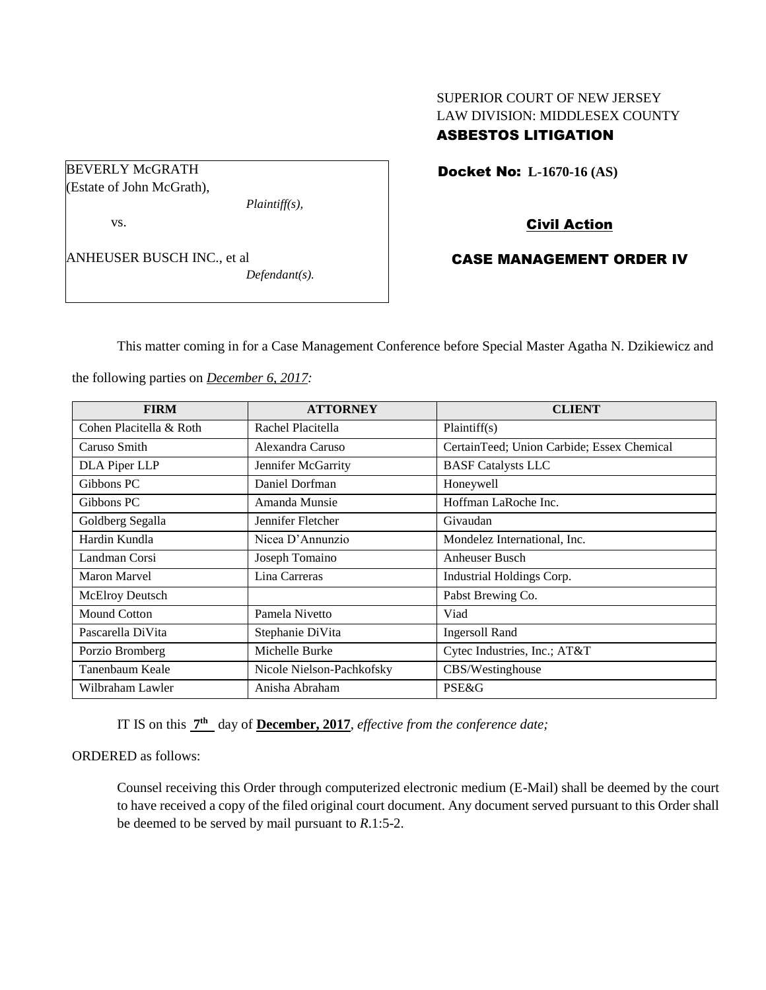# SUPERIOR COURT OF NEW JERSEY LAW DIVISION: MIDDLESEX COUNTY ASBESTOS LITIGATION

Docket No: **L-1670-16 (AS)** 

Civil Action

# CASE MANAGEMENT ORDER IV

This matter coming in for a Case Management Conference before Special Master Agatha N. Dzikiewicz and

the following parties on *December 6, 2017:*

*Plaintiff(s),*

*Defendant(s).*

| <b>FIRM</b>             | <b>ATTORNEY</b>           | <b>CLIENT</b>                              |
|-------------------------|---------------------------|--------------------------------------------|
| Cohen Placitella & Roth | Rachel Placitella         | Plaintiff(s)                               |
| Caruso Smith            | Alexandra Caruso          | CertainTeed; Union Carbide; Essex Chemical |
| DLA Piper LLP           | Jennifer McGarrity        | <b>BASF Catalysts LLC</b>                  |
| Gibbons PC              | Daniel Dorfman            | Honeywell                                  |
| Gibbons PC              | Amanda Munsie             | Hoffman LaRoche Inc.                       |
| Goldberg Segalla        | Jennifer Fletcher         | Givaudan                                   |
| Hardin Kundla           | Nicea D'Annunzio          | Mondelez International, Inc.               |
| Landman Corsi           | Joseph Tomaino            | Anheuser Busch                             |
| <b>Maron Marvel</b>     | Lina Carreras             | Industrial Holdings Corp.                  |
| <b>McElroy Deutsch</b>  |                           | Pabst Brewing Co.                          |
| Mound Cotton            | Pamela Nivetto            | Viad                                       |
| Pascarella DiVita       | Stephanie DiVita          | <b>Ingersoll Rand</b>                      |
| Porzio Bromberg         | Michelle Burke            | Cytec Industries, Inc.; AT&T               |
| Tanenbaum Keale         | Nicole Nielson-Pachkofsky | CBS/Westinghouse                           |
| Wilbraham Lawler        | Anisha Abraham            | <b>PSE&amp;G</b>                           |

IT IS on this **7 th** day of **December, 2017**, *effective from the conference date;*

ORDERED as follows:

Counsel receiving this Order through computerized electronic medium (E-Mail) shall be deemed by the court to have received a copy of the filed original court document. Any document served pursuant to this Order shall be deemed to be served by mail pursuant to *R*.1:5-2.

BEVERLY McGRATH (Estate of John McGrath),

ANHEUSER BUSCH INC., et al

vs.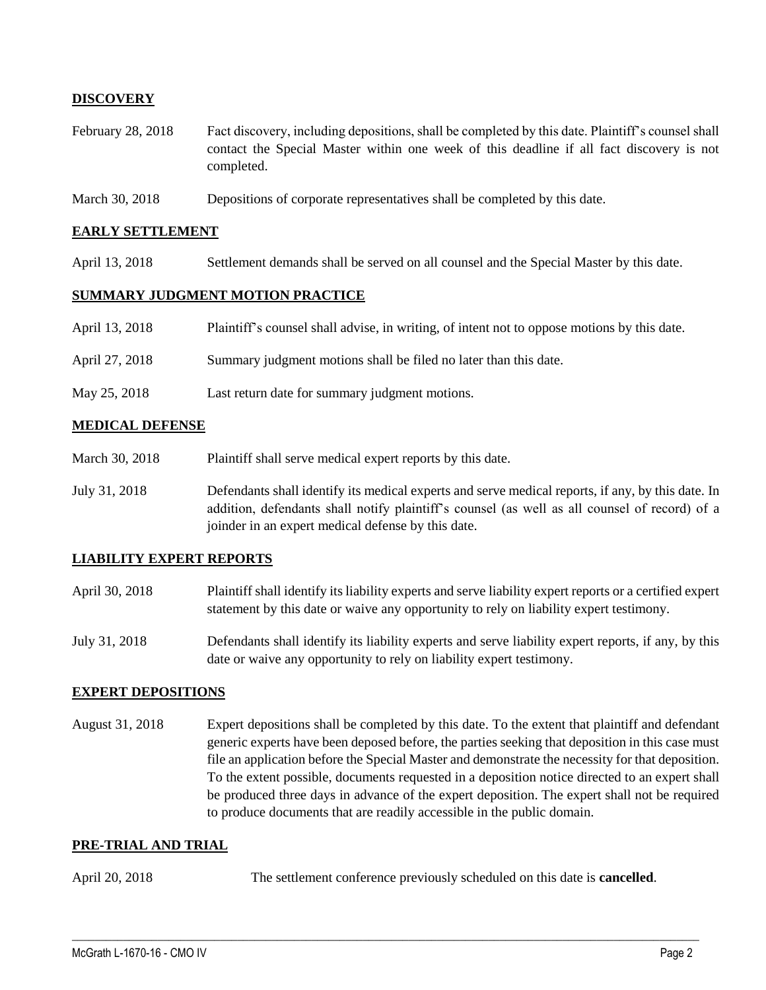## **DISCOVERY**

- February 28, 2018 Fact discovery, including depositions, shall be completed by this date. Plaintiff's counsel shall contact the Special Master within one week of this deadline if all fact discovery is not completed.
- March 30, 2018 Depositions of corporate representatives shall be completed by this date.

#### **EARLY SETTLEMENT**

April 13, 2018 Settlement demands shall be served on all counsel and the Special Master by this date.

### **SUMMARY JUDGMENT MOTION PRACTICE**

| April 13, 2018 | Plaintiff's counsel shall advise, in writing, of intent not to oppose motions by this date. |
|----------------|---------------------------------------------------------------------------------------------|
|                |                                                                                             |

- April 27, 2018 Summary judgment motions shall be filed no later than this date.
- May 25, 2018 Last return date for summary judgment motions.

#### **MEDICAL DEFENSE**

- March 30, 2018 Plaintiff shall serve medical expert reports by this date.
- July 31, 2018 Defendants shall identify its medical experts and serve medical reports, if any, by this date. In addition, defendants shall notify plaintiff's counsel (as well as all counsel of record) of a joinder in an expert medical defense by this date.

## **LIABILITY EXPERT REPORTS**

- April 30, 2018 Plaintiff shall identify its liability experts and serve liability expert reports or a certified expert statement by this date or waive any opportunity to rely on liability expert testimony.
- July 31, 2018 Defendants shall identify its liability experts and serve liability expert reports, if any, by this date or waive any opportunity to rely on liability expert testimony.

### **EXPERT DEPOSITIONS**

August 31, 2018 Expert depositions shall be completed by this date. To the extent that plaintiff and defendant generic experts have been deposed before, the parties seeking that deposition in this case must file an application before the Special Master and demonstrate the necessity for that deposition. To the extent possible, documents requested in a deposition notice directed to an expert shall be produced three days in advance of the expert deposition. The expert shall not be required to produce documents that are readily accessible in the public domain.

### **PRE-TRIAL AND TRIAL**

April 20, 2018 The settlement conference previously scheduled on this date is **cancelled**.

 $\_$  ,  $\_$  ,  $\_$  ,  $\_$  ,  $\_$  ,  $\_$  ,  $\_$  ,  $\_$  ,  $\_$  ,  $\_$  ,  $\_$  ,  $\_$  ,  $\_$  ,  $\_$  ,  $\_$  ,  $\_$  ,  $\_$  ,  $\_$  ,  $\_$  ,  $\_$  ,  $\_$  ,  $\_$  ,  $\_$  ,  $\_$  ,  $\_$  ,  $\_$  ,  $\_$  ,  $\_$  ,  $\_$  ,  $\_$  ,  $\_$  ,  $\_$  ,  $\_$  ,  $\_$  ,  $\_$  ,  $\_$  ,  $\_$  ,